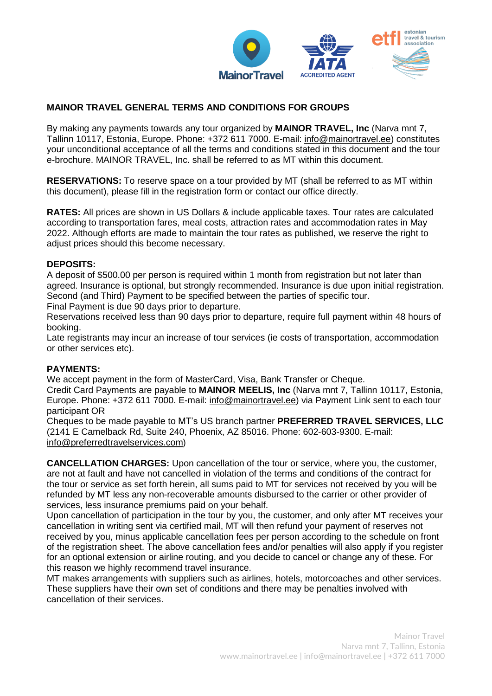

## **MAINOR TRAVEL GENERAL TERMS AND CONDITIONS FOR GROUPS**

By making any payments towards any tour organized by **MAINOR TRAVEL, Inc** (Narva mnt 7, Tallinn 10117, Estonia, Europe. Phone: +372 611 7000. E-mail: [info@mainortravel.ee\)](mailto:info@mainortravel.ee) constitutes your unconditional acceptance of all the terms and conditions stated in this document and the tour e-brochure. MAINOR TRAVEL, Inc. shall be referred to as MT within this document.

**RESERVATIONS:** To reserve space on a tour provided by MT (shall be referred to as MT within this document), please fill in the registration form or contact our office directly.

**RATES:** All prices are shown in US Dollars & include applicable taxes. Tour rates are calculated according to transportation fares, meal costs, attraction rates and accommodation rates in May 2022. Although efforts are made to maintain the tour rates as published, we reserve the right to adjust prices should this become necessary.

## **DEPOSITS:**

A deposit of \$500.00 per person is required within 1 month from registration but not later than agreed. Insurance is optional, but strongly recommended. Insurance is due upon initial registration. Second (and Third) Payment to be specified between the parties of specific tour.

Final Payment is due 90 days prior to departure.

Reservations received less than 90 days prior to departure, require full payment within 48 hours of booking.

Late registrants may incur an increase of tour services (ie costs of transportation, accommodation or other services etc).

## **PAYMENTS:**

We accept payment in the form of MasterCard, Visa, Bank Transfer or Cheque.

Credit Card Payments are payable to **MAINOR MEELIS, Inc** (Narva mnt 7, Tallinn 10117, Estonia, Europe. Phone: +372 611 7000. E-mail: [info@mainortravel.ee\)](mailto:info@mainortravel.ee) via Payment Link sent to each tour participant OR

Cheques to be made payable to MT's US branch partner **PREFERRED TRAVEL SERVICES, LLC** (2141 E Camelback Rd, Suite 240, Phoenix, AZ 85016. Phone: 602-603-9300. E-mail: [info@preferredtravelservices.com\)](mailto:info@preferredtravelservices.com)

**CANCELLATION CHARGES:** Upon cancellation of the tour or service, where you, the customer, are not at fault and have not cancelled in violation of the terms and conditions of the contract for the tour or service as set forth herein, all sums paid to MT for services not received by you will be refunded by MT less any non-recoverable amounts disbursed to the carrier or other provider of services, less insurance premiums paid on your behalf.

Upon cancellation of participation in the tour by you, the customer, and only after MT receives your cancellation in writing sent via certified mail, MT will then refund your payment of reserves not received by you, minus applicable cancellation fees per person according to the schedule on front of the registration sheet. The above cancellation fees and/or penalties will also apply if you register for an optional extension or airline routing, and you decide to cancel or change any of these. For this reason we highly recommend travel insurance.

MT makes arrangements with suppliers such as airlines, hotels, motorcoaches and other services. These suppliers have their own set of conditions and there may be penalties involved with cancellation of their services.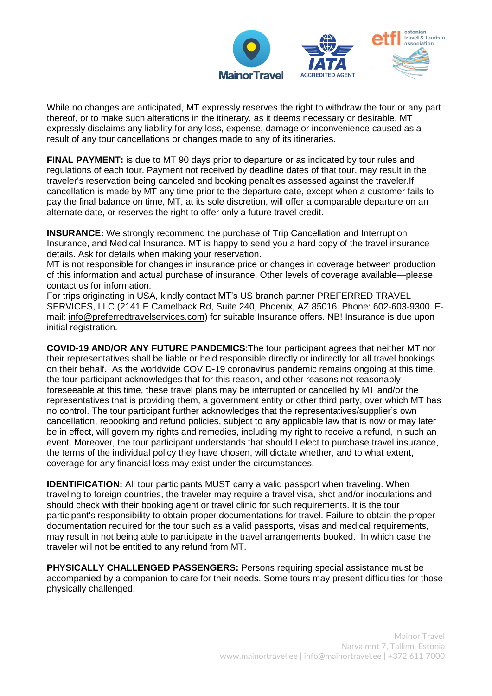

While no changes are anticipated, MT expressly reserves the right to withdraw the tour or any part thereof, or to make such alterations in the itinerary, as it deems necessary or desirable. MT expressly disclaims any liability for any loss, expense, damage or inconvenience caused as a result of any tour cancellations or changes made to any of its itineraries.

**FINAL PAYMENT:** is due to MT 90 days prior to departure or as indicated by tour rules and regulations of each tour. Payment not received by deadline dates of that tour, may result in the traveler's reservation being canceled and booking penalties assessed against the traveler.If cancellation is made by MT any time prior to the departure date, except when a customer fails to pay the final balance on time, MT, at its sole discretion, will offer a comparable departure on an alternate date, or reserves the right to offer only a future travel credit.

**INSURANCE:** We strongly recommend the purchase of Trip Cancellation and Interruption Insurance, and Medical Insurance. MT is happy to send you a hard copy of the travel insurance details. Ask for details when making your reservation.

MT is not responsible for changes in insurance price or changes in coverage between production of this information and actual purchase of insurance. Other levels of coverage available—please contact us for information.

For trips originating in USA, kindly contact MT's US branch partner PREFERRED TRAVEL SERVICES, LLC (2141 E Camelback Rd, Suite 240, Phoenix, AZ 85016. Phone: 602-603-9300. Email: [info@preferredtravelservices.com\)](mailto:info@preferredtravelservices.com) for suitable Insurance offers. NB! Insurance is due upon initial registration.

**COVID-19 AND/OR ANY FUTURE PANDEMICS**:The tour participant agrees that neither MT nor their representatives shall be liable or held responsible directly or indirectly for all travel bookings on their behalf. As the worldwide COVID-19 coronavirus pandemic remains ongoing at this time, the tour participant acknowledges that for this reason, and other reasons not reasonably foreseeable at this time, these travel plans may be interrupted or cancelled by MT and/or the representatives that is providing them, a government entity or other third party, over which MT has no control. The tour participant further acknowledges that the representatives/supplier's own cancellation, rebooking and refund policies, subject to any applicable law that is now or may later be in effect, will govern my rights and remedies, including my right to receive a refund, in such an event. Moreover, the tour participant understands that should I elect to purchase travel insurance, the terms of the individual policy they have chosen, will dictate whether, and to what extent, coverage for any financial loss may exist under the circumstances.

**IDENTIFICATION:** All tour participants MUST carry a valid passport when traveling. When traveling to foreign countries, the traveler may require a travel visa, shot and/or inoculations and should check with their booking agent or travel clinic for such requirements. It is the tour participant's responsibility to obtain proper documentations for travel. Failure to obtain the proper documentation required for the tour such as a valid passports, visas and medical requirements, may result in not being able to participate in the travel arrangements booked. In which case the traveler will not be entitled to any refund from MT.

**PHYSICALLY CHALLENGED PASSENGERS:** Persons requiring special assistance must be accompanied by a companion to care for their needs. Some tours may present difficulties for those physically challenged.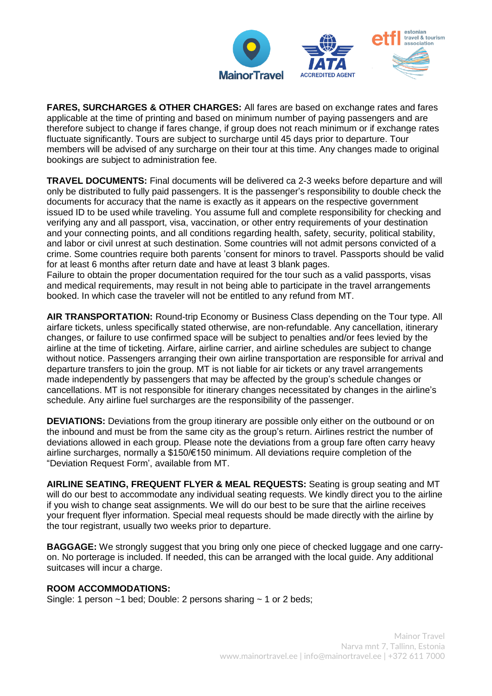

**FARES, SURCHARGES & OTHER CHARGES:** All fares are based on exchange rates and fares applicable at the time of printing and based on minimum number of paying passengers and are therefore subject to change if fares change, if group does not reach minimum or if exchange rates fluctuate significantly. Tours are subject to surcharge until 45 days prior to departure. Tour members will be advised of any surcharge on their tour at this time. Any changes made to original bookings are subject to administration fee.

**TRAVEL DOCUMENTS:** Final documents will be delivered ca 2-3 weeks before departure and will only be distributed to fully paid passengers. It is the passenger's responsibility to double check the documents for accuracy that the name is exactly as it appears on the respective government issued ID to be used while traveling. You assume full and complete responsibility for checking and verifying any and all passport, visa, vaccination, or other entry requirements of your destination and your connecting points, and all conditions regarding health, safety, security, political stability, and labor or civil unrest at such destination. Some countries will not admit persons convicted of a crime. Some countries require both parents 'consent for minors to travel. Passports should be valid for at least 6 months after return date and have at least 3 blank pages.

Failure to obtain the proper documentation required for the tour such as a valid passports, visas and medical requirements, may result in not being able to participate in the travel arrangements booked. In which case the traveler will not be entitled to any refund from MT.

**AIR TRANSPORTATION:** Round-trip Economy or Business Class depending on the Tour type. All airfare tickets, unless specifically stated otherwise, are non-refundable. Any cancellation, itinerary changes, or failure to use confirmed space will be subject to penalties and/or fees levied by the airline at the time of ticketing. Airfare, airline carrier, and airline schedules are subject to change without notice. Passengers arranging their own airline transportation are responsible for arrival and departure transfers to join the group. MT is not liable for air tickets or any travel arrangements made independently by passengers that may be affected by the group's schedule changes or cancellations. MT is not responsible for itinerary changes necessitated by changes in the airline's schedule. Any airline fuel surcharges are the responsibility of the passenger.

**DEVIATIONS:** Deviations from the group itinerary are possible only either on the outbound or on the inbound and must be from the same city as the group's return. Airlines restrict the number of deviations allowed in each group. Please note the deviations from a group fare often carry heavy airline surcharges, normally a \$150/€150 minimum. All deviations require completion of the "Deviation Request Form', available from MT.

**AIRLINE SEATING, FREQUENT FLYER & MEAL REQUESTS:** Seating is group seating and MT will do our best to accommodate any individual seating requests. We kindly direct you to the airline if you wish to change seat assignments. We will do our best to be sure that the airline receives your frequent flyer information. Special meal requests should be made directly with the airline by the tour registrant, usually two weeks prior to departure.

**BAGGAGE:** We strongly suggest that you bring only one piece of checked luggage and one carryon. No porterage is included. If needed, this can be arranged with the local guide. Any additional suitcases will incur a charge.

## **ROOM ACCOMMODATIONS:**

Single: 1 person ~1 bed; Double: 2 persons sharing ~ 1 or 2 beds;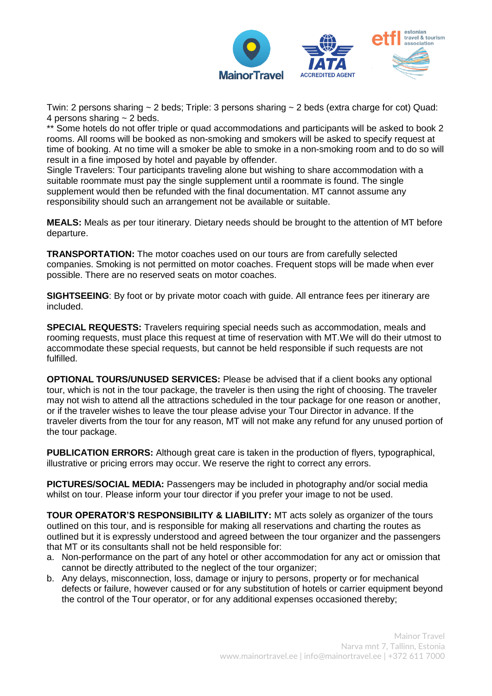

Twin: 2 persons sharing  $\sim$  2 beds; Triple: 3 persons sharing  $\sim$  2 beds (extra charge for cot) Quad: 4 persons sharing  $\sim$  2 beds.

\*\* Some hotels do not offer triple or quad accommodations and participants will be asked to book 2 rooms. All rooms will be booked as non-smoking and smokers will be asked to specify request at time of booking. At no time will a smoker be able to smoke in a non-smoking room and to do so will result in a fine imposed by hotel and payable by offender.

Single Travelers: Tour participants traveling alone but wishing to share accommodation with a suitable roommate must pay the single supplement until a roommate is found. The single supplement would then be refunded with the final documentation. MT cannot assume any responsibility should such an arrangement not be available or suitable.

**MEALS:** Meals as per tour itinerary. Dietary needs should be brought to the attention of MT before departure.

**TRANSPORTATION:** The motor coaches used on our tours are from carefully selected companies. Smoking is not permitted on motor coaches. Frequent stops will be made when ever possible. There are no reserved seats on motor coaches.

**SIGHTSEEING**: By foot or by private motor coach with quide. All entrance fees per itinerary are included.

**SPECIAL REQUESTS:** Travelers requiring special needs such as accommodation, meals and rooming requests, must place this request at time of reservation with MT.We will do their utmost to accommodate these special requests, but cannot be held responsible if such requests are not fulfilled.

**OPTIONAL TOURS/UNUSED SERVICES:** Please be advised that if a client books any optional tour, which is not in the tour package, the traveler is then using the right of choosing. The traveler may not wish to attend all the attractions scheduled in the tour package for one reason or another, or if the traveler wishes to leave the tour please advise your Tour Director in advance. If the traveler diverts from the tour for any reason, MT will not make any refund for any unused portion of the tour package.

**PUBLICATION ERRORS:** Although great care is taken in the production of flyers, typographical, illustrative or pricing errors may occur. We reserve the right to correct any errors.

**PICTURES/SOCIAL MEDIA:** Passengers may be included in photography and/or social media whilst on tour. Please inform your tour director if you prefer your image to not be used.

**TOUR OPERATOR'S RESPONSIBILITY & LIABILITY:** MT acts solely as organizer of the tours outlined on this tour, and is responsible for making all reservations and charting the routes as outlined but it is expressly understood and agreed between the tour organizer and the passengers that MT or its consultants shall not be held responsible for:

- a. Non-performance on the part of any hotel or other accommodation for any act or omission that cannot be directly attributed to the neglect of the tour organizer;
- b. Any delays, misconnection, loss, damage or injury to persons, property or for mechanical defects or failure, however caused or for any substitution of hotels or carrier equipment beyond the control of the Tour operator, or for any additional expenses occasioned thereby;